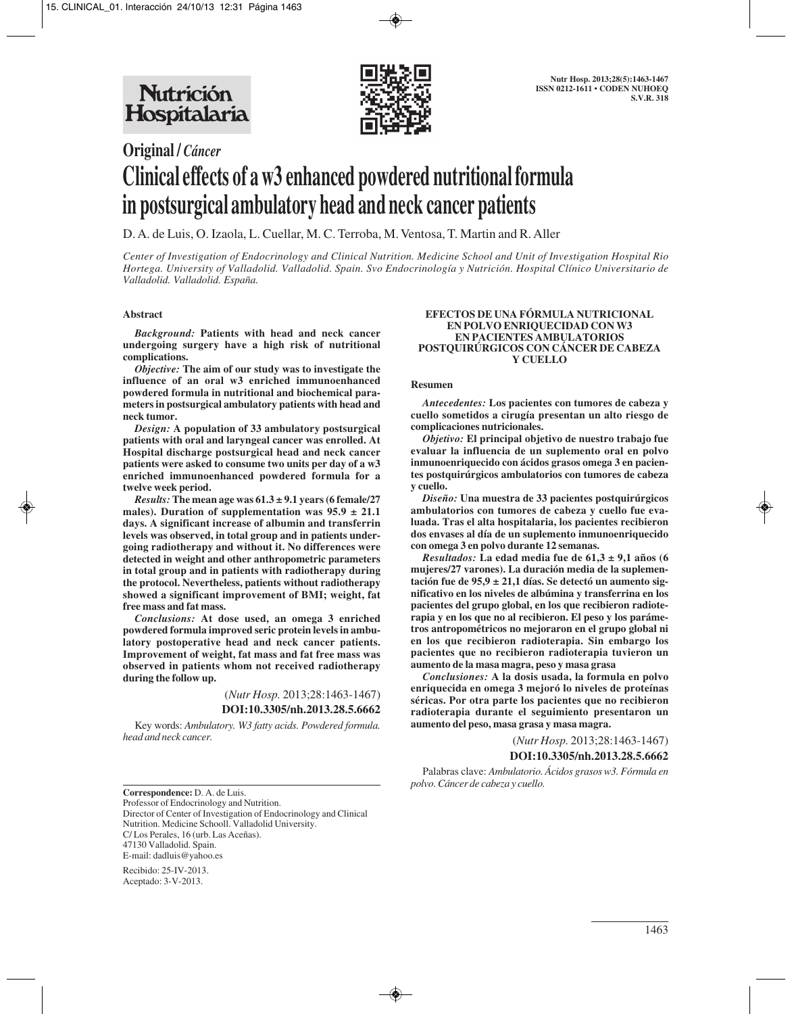

# **Original /** *Cáncer* **Clinical effects of a w3 enhanced powdered nutritional formula in postsurgical ambulatory head and neck cancer patients**

D. A. de Luis, O. Izaola, L. Cuellar, M. C. Terroba, M. Ventosa, T. Martin and R. Aller

*Center of Investigation of Endocrinology and Clinical Nutrition. Medicine School and Unit of Investigation Hospital Rio Hortega. University of Valladolid. Valladolid. Spain. Svo Endocrinología y Nutrición. Hospital Clínico Universitario de Valladolid. Valladolid. España.*

#### **Abstract**

*Background:* **Patients with head and neck cancer undergoing surgery have a high risk of nutritional complications.**

*Objective:* **The aim of our study was to investigate the influence of an oral w3 enriched immunoenhanced powdered formula in nutritional and biochemical parameters in postsurgical ambulatory patients with head and neck tumor.** 

*Design:* **A population of 33 ambulatory postsurgical patients with oral and laryngeal cancer was enrolled. At Hospital discharge postsurgical head and neck cancer patients were asked to consume two units per day of a w3 enriched immunoenhanced powdered formula for a twelve week period.** 

*Results:* The mean age was  $61.3 \pm 9.1$  years (6 female/27) males). Duration of supplementation was  $95.9 \pm 21.1$ **days. A significant increase of albumin and transferrin levels was observed, in total group and in patients undergoing radiotherapy and without it. No differences were detected in weight and other anthropometric parameters in total group and in patients with radiotherapy during the protocol. Nevertheless, patients without radiotherapy showed a significant improvement of BMI; weight, fat free mass and fat mass.**

*Conclusions:* **At dose used, an omega 3 enriched powdered formula improved seric protein levels in ambulatory postoperative head and neck cancer patients. Improvement of weight, fat mass and fat free mass was observed in patients whom not received radiotherapy during the follow up.**

(*Nutr Hosp.* 2013;28:1463-1467)

# **DOI:10.3305/nh.2013.28.5.6662**

Key words: *Ambulatory. W3 fatty acids. Powdered formula. head and neck cancer.*

#### **EFECTOS DE UNA FÓRMULA NUTRICIONAL EN POLVO ENRIQUECIDAD CON W3 EN PACIENTES AMBULATORIOS POSTQUIRÚRGICOS CON CÁNCER DE CABEZA Y CUELLO**

#### **Resumen**

*Antecedentes:* **Los pacientes con tumores de cabeza y cuello sometidos a cirugía presentan un alto riesgo de complicaciones nutricionales.** 

*Objetivo:* **El principal objetivo de nuestro trabajo fue evaluar la influencia de un suplemento oral en polvo inmunoenriquecido con ácidos grasos omega 3 en pacientes postquirúrgicos ambulatorios con tumores de cabeza y cuello.** 

*Diseño:* **Una muestra de 33 pacientes postquirúrgicos ambulatorios con tumores de cabeza y cuello fue evaluada. Tras el alta hospitalaria, los pacientes recibieron dos envases al día de un suplemento inmunoenriquecido con omega 3 en polvo durante 12 semanas.** 

*Resultados:* **La edad media fue de 61,3 ± 9,1 años (6 mujeres/27 varones). La duración media de la suplementación fue de 95,9 ± 21,1 días. Se detectó un aumento significativo en los niveles de albúmina y transferrina en los pacientes del grupo global, en los que recibieron radioterapia y en los que no al recibieron. El peso y los parámetros antropométricos no mejoraron en el grupo global ni en los que recibieron radioterapia. Sin embargo los pacientes que no recibieron radioterapia tuvieron un aumento de la masa magra, peso y masa grasa** 

*Conclusiones:* **A la dosis usada, la formula en polvo enriquecida en omega 3 mejoró lo niveles de proteínas séricas. Por otra parte los pacientes que no recibieron radioterapia durante el seguimiento presentaron un aumento del peso, masa grasa y masa magra.** 

(*Nutr Hosp.* 2013;28:1463-1467)

**DOI:10.3305/nh.2013.28.5.6662**

Palabras clave: *Ambulatorio. Ácidos grasos w3. Fórmula en polvo. Cáncer de cabeza y cuello.*

**Correspondence:** D. A. de Luis. Professor of Endocrinology and Nutrition. Director of Center of Investigation of Endocrinology and Clinical Nutrition. Medicine Schooll. Valladolid University. C/ Los Perales, 16 (urb. Las Aceñas). 47130 Valladolid. Spain. E-mail: dadluis@yahoo.es

Recibido: 25-IV-2013. Aceptado: 3-V-2013.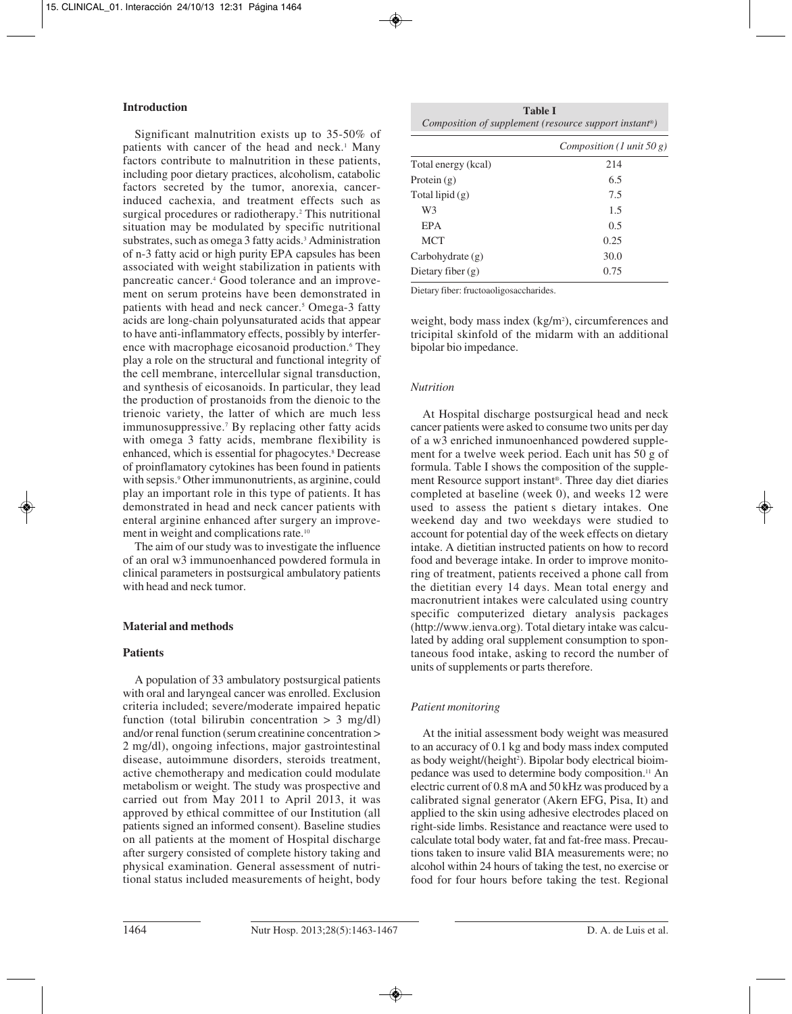#### **Introduction**

Significant malnutrition exists up to 35-50% of patients with cancer of the head and neck.<sup>1</sup> Many factors contribute to malnutrition in these patients, including poor dietary practices, alcoholism, catabolic factors secreted by the tumor, anorexia, cancerinduced cachexia, and treatment effects such as surgical procedures or radiotherapy.<sup>2</sup> This nutritional situation may be modulated by specific nutritional substrates, such as omega 3 fatty acids.<sup>3</sup> Administration of n-3 fatty acid or high purity EPA capsules has been associated with weight stabilization in patients with pancreatic cancer.4 Good tolerance and an improvement on serum proteins have been demonstrated in patients with head and neck cancer.<sup>5</sup> Omega-3 fatty acids are long-chain polyunsaturated acids that appear to have anti-inflammatory effects, possibly by interference with macrophage eicosanoid production.<sup>6</sup> They play a role on the structural and functional integrity of the cell membrane, intercellular signal transduction, and synthesis of eicosanoids. In particular, they lead the production of prostanoids from the dienoic to the trienoic variety, the latter of which are much less immunosuppressive.7 By replacing other fatty acids with omega 3 fatty acids, membrane flexibility is enhanced, which is essential for phagocytes.<sup>8</sup> Decrease of proinflamatory cytokines has been found in patients with sepsis.<sup>9</sup> Other immunonutrients, as arginine, could play an important role in this type of patients. It has demonstrated in head and neck cancer patients with enteral arginine enhanced after surgery an improvement in weight and complications rate.10

The aim of our study was to investigate the influence of an oral w3 immunoenhanced powdered formula in clinical parameters in postsurgical ambulatory patients with head and neck tumor.

# **Material and methods**

# **Patients**

A population of 33 ambulatory postsurgical patients with oral and laryngeal cancer was enrolled. Exclusion criteria included; severe/moderate impaired hepatic function (total bilirubin concentration  $> 3$  mg/dl) and/or renal function (serum creatinine concentration > 2 mg/dl), ongoing infections, major gastrointestinal disease, autoimmune disorders, steroids treatment, active chemotherapy and medication could modulate metabolism or weight. The study was prospective and carried out from May 2011 to April 2013, it was approved by ethical committee of our Institution (all patients signed an informed consent). Baseline studies on all patients at the moment of Hospital discharge after surgery consisted of complete history taking and physical examination. General assessment of nutritional status included measurements of height, body

**Table I** *Composition of supplement (resource support instant®)*

| 214  |
|------|
| 6.5  |
| 7.5  |
| 1.5  |
| 0.5  |
| 0.25 |
| 30.0 |
| 0.75 |
|      |

Dietary fiber: fructoaoligosaccharides.

weight, body mass index (kg/m<sup>2</sup>), circumferences and tricipital skinfold of the midarm with an additional bipolar bio impedance.

# *Nutrition*

At Hospital discharge postsurgical head and neck cancer patients were asked to consume two units per day of a w3 enriched inmunoenhanced powdered supplement for a twelve week period. Each unit has 50 g of formula. Table I shows the composition of the supplement Resource support instant®. Three day diet diaries completed at baseline (week 0), and weeks 12 were used to assess the patient s dietary intakes. One weekend day and two weekdays were studied to account for potential day of the week effects on dietary intake. A dietitian instructed patients on how to record food and beverage intake. In order to improve monitoring of treatment, patients received a phone call from the dietitian every 14 days. Mean total energy and macronutrient intakes were calculated using country specific computerized dietary analysis packages (http://www.ienva.org). Total dietary intake was calculated by adding oral supplement consumption to spontaneous food intake, asking to record the number of units of supplements or parts therefore.

# *Patient monitoring*

At the initial assessment body weight was measured to an accuracy of 0.1 kg and body mass index computed as body weight/(height<sup>2</sup>). Bipolar body electrical bioimpedance was used to determine body composition.11 An electric current of 0.8 mA and 50 kHz was produced by a calibrated signal generator (Akern EFG, Pisa, It) and applied to the skin using adhesive electrodes placed on right-side limbs. Resistance and reactance were used to calculate total body water, fat and fat-free mass. Precautions taken to insure valid BIA measurements were; no alcohol within 24 hours of taking the test, no exercise or food for four hours before taking the test. Regional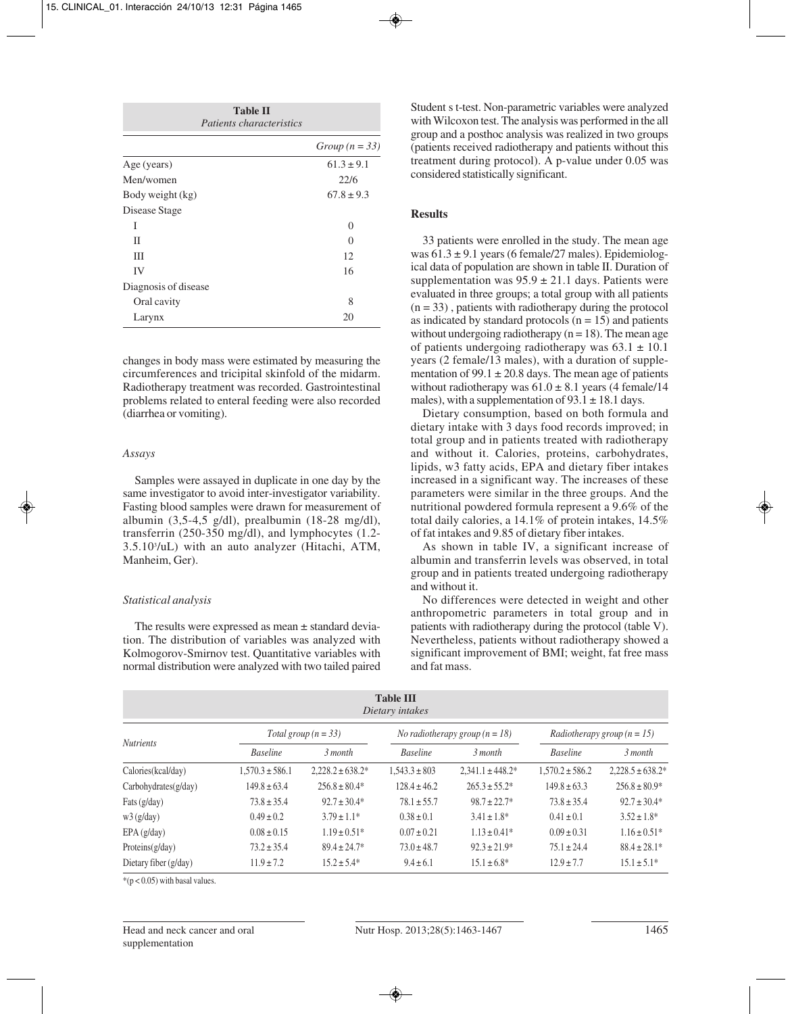| <b>Table II</b><br><i>Patients characteristics</i> |                  |  |  |  |
|----------------------------------------------------|------------------|--|--|--|
|                                                    | Group $(n = 33)$ |  |  |  |
| Age (years)                                        | $61.3 \pm 9.1$   |  |  |  |
| Men/women                                          | 22/6             |  |  |  |
| Body weight (kg)                                   | $67.8 \pm 9.3$   |  |  |  |
| Disease Stage                                      |                  |  |  |  |
| T                                                  | 0                |  |  |  |
| П                                                  | $\left( \right)$ |  |  |  |
| Ш                                                  | 12               |  |  |  |
| IV                                                 | 16               |  |  |  |
| Diagnosis of disease                               |                  |  |  |  |
| Oral cavity                                        | 8                |  |  |  |
| Larynx                                             | 20               |  |  |  |

changes in body mass were estimated by measuring the circumferences and tricipital skinfold of the midarm. Radiotherapy treatment was recorded. Gastrointestinal problems related to enteral feeding were also recorded (diarrhea or vomiting).

#### *Assays*

Samples were assayed in duplicate in one day by the same investigator to avoid inter-investigator variability. Fasting blood samples were drawn for measurement of albumin (3,5-4,5 g/dl), prealbumin (18-28 mg/dl), transferrin (250-350 mg/dl), and lymphocytes (1.2- 3.5.103 /uL) with an auto analyzer (Hitachi, ATM, Manheim, Ger).

#### *Statistical analysis*

The results were expressed as mean ± standard deviation. The distribution of variables was analyzed with Kolmogorov-Smirnov test. Quantitative variables with normal distribution were analyzed with two tailed paired

Student s t-test. Non-parametric variables were analyzed with Wilcoxon test. The analysis was performed in the all group and a posthoc analysis was realized in two groups (patients received radiotherapy and patients without this treatment during protocol). A p-value under 0.05 was considered statistically significant.

# **Results**

33 patients were enrolled in the study. The mean age was  $61.3 \pm 9.1$  years (6 female/27 males). Epidemiological data of population are shown in table II. Duration of supplementation was  $95.9 \pm 21.1$  days. Patients were evaluated in three groups; a total group with all patients  $(n = 33)$ , patients with radiotherapy during the protocol as indicated by standard protocols  $(n = 15)$  and patients without undergoing radiotherapy ( $n = 18$ ). The mean age of patients undergoing radiotherapy was  $63.1 \pm 10.1$ years (2 female/13 males), with a duration of supplementation of 99.1  $\pm$  20.8 days. The mean age of patients without radiotherapy was  $61.0 \pm 8.1$  years (4 female/14 males), with a supplementation of  $93.1 \pm 18.1$  days.

Dietary consumption, based on both formula and dietary intake with 3 days food records improved; in total group and in patients treated with radiotherapy and without it. Calories, proteins, carbohydrates, lipids, w3 fatty acids, EPA and dietary fiber intakes increased in a significant way. The increases of these parameters were similar in the three groups. And the nutritional powdered formula represent a 9.6% of the total daily calories, a 14.1% of protein intakes, 14.5% of fat intakes and 9.85 of dietary fiber intakes.

As shown in table IV, a significant increase of albumin and transferrin levels was observed, in total group and in patients treated undergoing radiotherapy and without it.

No differences were detected in weight and other anthropometric parameters in total group and in patients with radiotherapy during the protocol (table V). Nevertheless, patients without radiotherapy showed a significant improvement of BMI; weight, fat free mass and fat mass.

| <b>Table III</b><br>Dietary intakes |                        |                       |                                         |                      |                                      |                       |
|-------------------------------------|------------------------|-----------------------|-----------------------------------------|----------------------|--------------------------------------|-----------------------|
|                                     | Total group $(n = 33)$ |                       | <i>No radiotherapy group</i> $(n = 18)$ |                      | <i>Radiotherapy group</i> $(n = 15)$ |                       |
| <b>Nutrients</b>                    | <b>Baseline</b>        | 3 month               | <b>Baseline</b>                         | 3 month              | <b>Baseline</b>                      | 3 month               |
| Calories (kcal/day)                 | $1.570.3 \pm 586.1$    | $2.228.2 \pm 638.2^*$ | $1.543.3 \pm 803$                       | $2.341.1 \pm 448.2*$ | $1.570.2 \pm 586.2$                  | $2.228.5 \pm 638.2^*$ |
| $Carbo$ hydrates $(g/day)$          | $149.8 \pm 63.4$       | $256.8 \pm 80.4*$     | $128.4 \pm 46.2$                        | $265.3 \pm 55.2^*$   | $149.8 \pm 63.3$                     | $256.8 \pm 80.9*$     |
| Fats (g/day)                        | $73.8 \pm 35.4$        | $92.7 \pm 30.4*$      | $78.1 \pm 55.7$                         | $98.7 \pm 22.7^*$    | $73.8 \pm 35.4$                      | $92.7 \pm 30.4*$      |
| w3(g/day)                           | $0.49 \pm 0.2$         | $3.79 \pm 1.1*$       | $0.38 \pm 0.1$                          | $3.41 \pm 1.8^*$     | $0.41 \pm 0.1$                       | $3.52 \pm 1.8^*$      |
| EPA(g/day)                          | $0.08 \pm 0.15$        | $1.19 \pm 0.51*$      | $0.07 \pm 0.21$                         | $1.13 \pm 0.41*$     | $0.09 \pm 0.31$                      | $1.16 \pm 0.51*$      |
| Proteins $(g/day)$                  | $73.2 \pm 35.4$        | $89.4 \pm 24.7*$      | $73.0 \pm 48.7$                         | $92.3 \pm 21.9^*$    | $75.1 \pm 24.4$                      | $88.4 \pm 28.1*$      |
| Dietary fiber $(g/day)$             | $11.9 \pm 7.2$         | $15.2 \pm 5.4*$       | $9.4 \pm 6.1$                           | $15.1 \pm 6.8^*$     | $12.9 \pm 7.7$                       | $15.1 \pm 5.1^*$      |

 $*(p < 0.05)$  with basal values.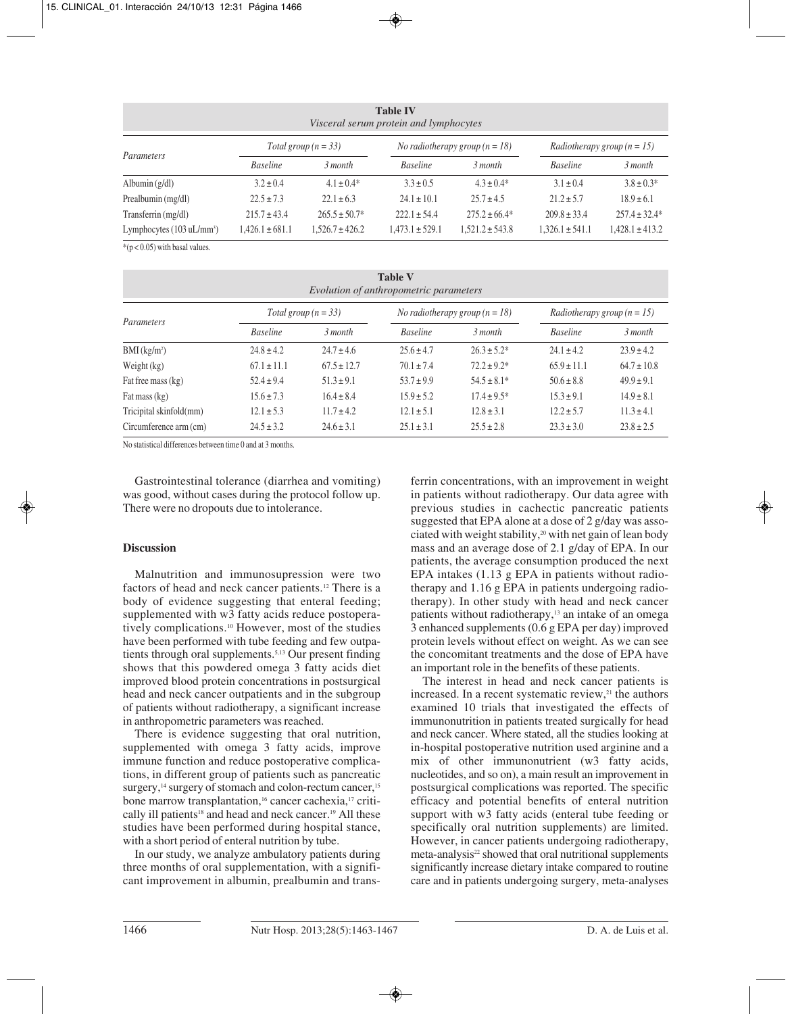| <b>Table IV</b><br>Visceral serum protein and lymphocytes |                        |                     |                                         |                     |                                      |                     |  |
|-----------------------------------------------------------|------------------------|---------------------|-----------------------------------------|---------------------|--------------------------------------|---------------------|--|
| Parameters                                                | Total group $(n = 33)$ |                     | <i>No radiotherapy group</i> $(n = 18)$ |                     | <i>Radiotherapy group</i> $(n = 15)$ |                     |  |
|                                                           | <b>Baseline</b>        | 3 month             | <b>Baseline</b>                         | 3 month             | <b>Baseline</b>                      | 3 month             |  |
| Albumin $(g/dl)$                                          | $3.2 \pm 0.4$          | $4.1 \pm 0.4*$      | $3.3 \pm 0.5$                           | $4.3 \pm 0.4*$      | $3.1 \pm 0.4$                        | $3.8 \pm 0.3*$      |  |
| Prealbumin (mg/dl)                                        | $22.5 \pm 7.3$         | $22.1 \pm 6.3$      | $24.1 \pm 10.1$                         | $25.7 \pm 4.5$      | $21.2 \pm 5.7$                       | $18.9 \pm 6.1$      |  |
| Transferrin (mg/dl)                                       | $215.7 \pm 43.4$       | $265.5 \pm 50.7^*$  | $222.1 \pm 54.4$                        | $275.2 \pm 66.4*$   | $209.8 \pm 33.4$                     | $257.4 \pm 32.4*$   |  |
| Lymphocytes $(103 \text{ uL/mm}^3)$                       | $1,426.1 \pm 681.1$    | $1.526.7 \pm 426.2$ | $1,473.1 \pm 529.1$                     | $1.521.2 \pm 543.8$ | $1,326.1 \pm 541.1$                  | $1,428.1 \pm 413.2$ |  |

 $*(p < 0.05)$  with basal values.

| <b>Table V</b><br>Evolution of anthropometric parameters |                        |                 |                                         |                  |                                      |                 |
|----------------------------------------------------------|------------------------|-----------------|-----------------------------------------|------------------|--------------------------------------|-----------------|
|                                                          | Total group $(n = 33)$ |                 | <i>No radiotherapy group</i> $(n = 18)$ |                  | <i>Radiotherapy group</i> $(n = 15)$ |                 |
| Parameters                                               | <b>Baseline</b>        | 3 month         | <b>Baseline</b>                         | 3 month          | <b>Baseline</b>                      | 3 month         |
| $BMI$ (kg/m <sup>2</sup> )                               | $24.8 \pm 4.2$         | $24.7 \pm 4.6$  | $25.6 \pm 4.7$                          | $26.3 \pm 5.2^*$ | $24.1 \pm 4.2$                       | $23.9 \pm 4.2$  |
| Weight $(kg)$                                            | $67.1 \pm 11.1$        | $67.5 \pm 12.7$ | $70.1 \pm 7.4$                          | $72.2 \pm 9.2^*$ | $65.9 \pm 11.1$                      | $64.7 \pm 10.8$ |
| Fat free mass (kg)                                       | $52.4 \pm 9.4$         | $51.3 \pm 9.1$  | $53.7 \pm 9.9$                          | $54.5 \pm 8.1*$  | $50.6 \pm 8.8$                       | $49.9 \pm 9.1$  |
| Fat mass $(kg)$                                          | $15.6 \pm 7.3$         | $16.4 \pm 8.4$  | $15.9 \pm 5.2$                          | $17.4 \pm 9.5^*$ | $15.3 \pm 9.1$                       | $14.9 \pm 8.1$  |
| Tricipital skinfold(mm)                                  | $12.1 \pm 5.3$         | $11.7 \pm 4.2$  | $12.1 \pm 5.1$                          | $12.8 \pm 3.1$   | $12.2 \pm 5.7$                       | $11.3 \pm 4.1$  |
| Circumference arm (cm)                                   | $24.5 \pm 3.2$         | $24.6 \pm 3.1$  | $25.1 \pm 3.1$                          | $25.5 \pm 2.8$   | $23.3 \pm 3.0$                       | $23.8 \pm 2.5$  |

No statistical differences between time 0 and at 3 months.

Gastrointestinal tolerance (diarrhea and vomiting) was good, without cases during the protocol follow up. There were no dropouts due to intolerance.

# **Discussion**

Malnutrition and immunosupression were two factors of head and neck cancer patients.12 There is a body of evidence suggesting that enteral feeding; supplemented with w3 fatty acids reduce postoperatively complications.10 However, most of the studies have been performed with tube feeding and few outpatients through oral supplements.5,13 Our present finding shows that this powdered omega 3 fatty acids diet improved blood protein concentrations in postsurgical head and neck cancer outpatients and in the subgroup of patients without radiotherapy, a significant increase in anthropometric parameters was reached.

There is evidence suggesting that oral nutrition, supplemented with omega 3 fatty acids, improve immune function and reduce postoperative complications, in different group of patients such as pancreatic surgery,<sup>14</sup> surgery of stomach and colon-rectum cancer,<sup>15</sup> bone marrow transplantation,<sup>16</sup> cancer cachexia,<sup>17</sup> critically ill patients<sup>18</sup> and head and neck cancer.<sup>19</sup> All these studies have been performed during hospital stance, with a short period of enteral nutrition by tube.

In our study, we analyze ambulatory patients during three months of oral supplementation, with a significant improvement in albumin, prealbumin and transferrin concentrations, with an improvement in weight in patients without radiotherapy. Our data agree with previous studies in cachectic pancreatic patients suggested that EPA alone at a dose of 2 g/day was associated with weight stability,<sup>20</sup> with net gain of lean body mass and an average dose of 2.1 g/day of EPA. In our patients, the average consumption produced the next EPA intakes (1.13 g EPA in patients without radiotherapy and 1.16 g EPA in patients undergoing radiotherapy). In other study with head and neck cancer patients without radiotherapy,<sup>13</sup> an intake of an omega 3 enhanced supplements (0.6 g EPA per day) improved protein levels without effect on weight. As we can see the concomitant treatments and the dose of EPA have an important role in the benefits of these patients.

The interest in head and neck cancer patients is increased. In a recent systematic review, $21$  the authors examined 10 trials that investigated the effects of immunonutrition in patients treated surgically for head and neck cancer. Where stated, all the studies looking at in-hospital postoperative nutrition used arginine and a mix of other immunonutrient (w3 fatty acids, nucleotides, and so on), a main result an improvement in postsurgical complications was reported. The specific efficacy and potential benefits of enteral nutrition support with w3 fatty acids (enteral tube feeding or specifically oral nutrition supplements) are limited. However, in cancer patients undergoing radiotherapy, meta-analysis<sup>22</sup> showed that oral nutritional supplements significantly increase dietary intake compared to routine care and in patients undergoing surgery, meta-analyses